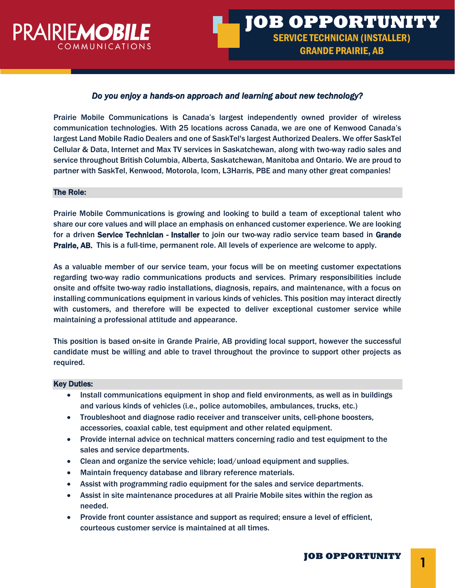

# *Do you enjoy a hands-on approach and learning about new technology?*

Prairie Mobile Communications is Canada's largest independently owned provider of wireless communication technologies. With 25 locations across Canada, we are one of Kenwood Canada's largest Land Mobile Radio Dealers and one of SaskTel's largest Authorized Dealers. We offer SaskTel Cellular & Data, Internet and Max TV services in Saskatchewan, along with two-way radio sales and service throughout British Columbia, Alberta, Saskatchewan, Manitoba and Ontario. We are proud to partner with SaskTel, Kenwood, Motorola, Icom, L3Harris, PBE and many other great companies!

#### The Role:

Prairie Mobile Communications is growing and looking to build a team of exceptional talent who share our core values and will place an emphasis on enhanced customer experience. We are looking for a driven Service Technician - Installer to join our two-way radio service team based in Grande Prairie, AB. This is a full-time, permanent role. All levels of experience are welcome to apply.

As a valuable member of our service team, your focus will be on meeting customer expectations regarding two-way radio communications products and services. Primary responsibilities include onsite and offsite two-way radio installations, diagnosis, repairs, and maintenance, with a focus on installing communications equipment in various kinds of vehicles. This position may interact directly with customers, and therefore will be expected to deliver exceptional customer service while maintaining a professional attitude and appearance.

This position is based on-site in Grande Prairie, AB providing local support, however the successful candidate must be willing and able to travel throughout the province to support other projects as required.

### Key Duties:

- Install communications equipment in shop and field environments, as well as in buildings and various kinds of vehicles (i.e., police automobiles, ambulances, trucks, etc.)
- Troubleshoot and diagnose radio receiver and transceiver units, cell-phone boosters, accessories, coaxial cable, test equipment and other related equipment.
- Provide internal advice on technical matters concerning radio and test equipment to the sales and service departments.
- Clean and organize the service vehicle; load/unload equipment and supplies.
- Maintain frequency database and library reference materials.
- Assist with programming radio equipment for the sales and service departments.
- Assist in site maintenance procedures at all Prairie Mobile sites within the region as needed.
- Provide front counter assistance and support as required; ensure a level of efficient, courteous customer service is maintained at all times.